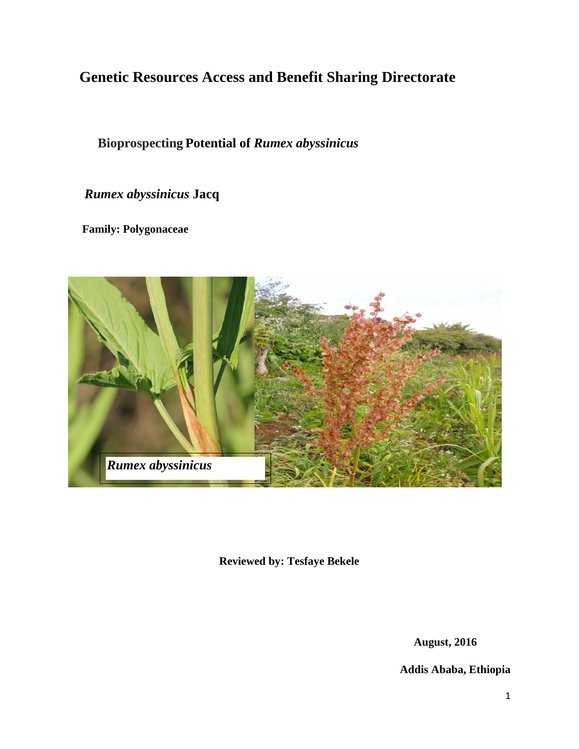# **Genetic Resources Access and Benefit Sharing Directorate**

# **Bioprospecting Potential of** *Rumex abyssinicus*

 *Rumex abyssinicus* **Jacq**

 **Family: Polygonaceae**



**Reviewed by: Tesfaye Bekele**

**August, 2016**

**Addis Ababa, Ethiopia**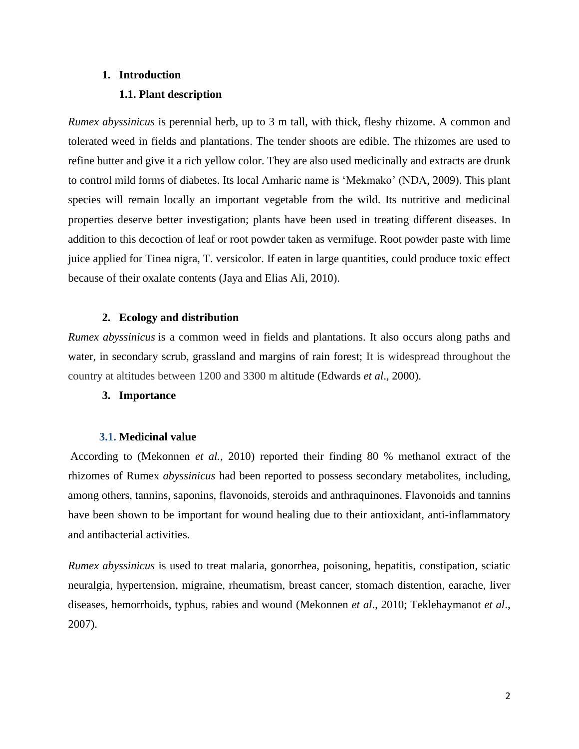# **1. Introduction**

## **1.1. Plant description**

*Rumex abyssinicus* is perennial herb, up to 3 m tall, with thick, fleshy rhizome. A common and tolerated weed in fields and plantations. The tender shoots are edible. The rhizomes are used to refine butter and give it a rich yellow color. They are also used medicinally and extracts are drunk to control mild forms of diabetes. Its local Amharic name is 'Mekmako' (NDA, 2009). This plant species will remain locally an important vegetable from the wild. Its nutritive and medicinal properties deserve better investigation; plants have been used in treating different diseases. In addition to this decoction of leaf or root powder taken as vermifuge. Root powder paste with lime juice applied for Tinea nigra, T. versicolor. If eaten in large quantities, could produce toxic effect because of their oxalate contents (Jaya and Elias Ali, 2010).

## **2. Ecology and distribution**

*Rumex abyssinicus* is a common weed in fields and plantations. It also occurs along paths and water, in secondary scrub, grassland and margins of rain forest; It is widespread throughout the country at altitudes between 1200 and 3300 m altitude (Edwards *et al*., 2000).

## **3. Importance**

## **3.1. Medicinal value**

According to (Mekonnen *et al.,* 2010) reported their finding 80 % methanol extract of the rhizomes of Rumex *abyssinicus* had been reported to possess secondary metabolites, including, among others, tannins, saponins, flavonoids, steroids and anthraquinones. Flavonoids and tannins have been shown to be important for wound healing due to their antioxidant, anti-inflammatory and antibacterial activities.

*Rumex abyssinicus* is used to treat malaria, gonorrhea, poisoning, hepatitis, constipation, sciatic neuralgia, hypertension, migraine, rheumatism, breast cancer, stomach distention, earache, liver diseases, hemorrhoids, typhus, rabies and wound (Mekonnen *et al*., 2010; Teklehaymanot *et al*., 2007).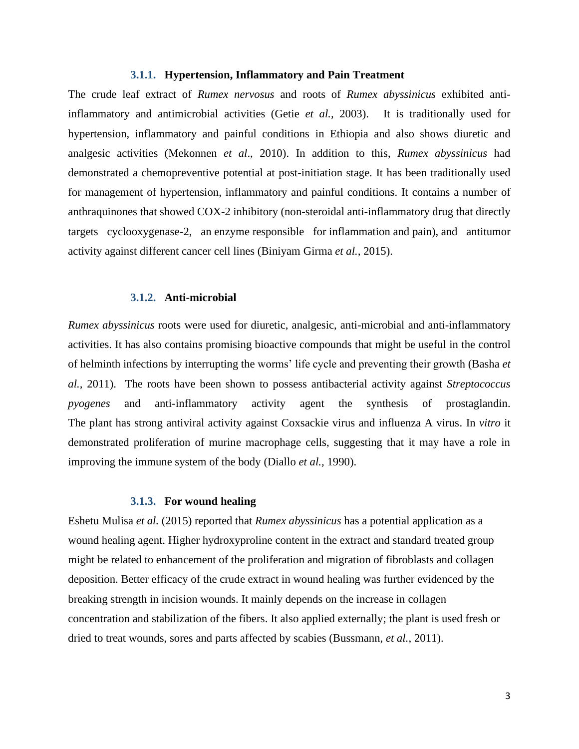#### **3.1.1. Hypertension, Inflammatory and Pain Treatment**

The crude leaf extract of *Rumex nervosus* and roots of *Rumex abyssinicus* exhibited antiinflammatory and antimicrobial activities (Getie *et al.,* 2003). It is traditionally used for hypertension, inflammatory and painful conditions in Ethiopia and also shows diuretic and analgesic activities (Mekonnen *et al*., 2010). In addition to this, *Rumex abyssinicus* had demonstrated a chemopreventive potential at post-initiation stage. It has been traditionally used for management of hypertension, inflammatory and painful conditions. It contains a number of anthraquinones that showed COX-2 inhibitory [\(non-steroidal anti-inflammatory drug](https://en.wikipedia.org/wiki/Non-steroidal_anti-inflammatory_drug) that directly targets cyclooxygenase-2, an [enzyme](https://en.wikipedia.org/wiki/Enzyme) responsible for [inflammation](https://en.wikipedia.org/wiki/Inflammation) and [pain\)](https://en.wikipedia.org/wiki/Pain), and antitumor activity against different cancer cell lines (Biniyam Girma *et al.,* 2015).

#### **3.1.2. Anti-microbial**

*Rumex abyssinicus* roots were used for diuretic, analgesic, anti-microbial and anti-inflammatory activities. It has also contains promising bioactive compounds that might be useful in the control of helminth infections by interrupting the worms' life cycle and preventing their growth (Basha *et al.,* 2011). The roots have been shown to possess antibacterial activity against *Streptococcus pyogenes* and anti-inflammatory activity agent the synthesis of prostaglandin. The plant has strong antiviral activity against Coxsackie virus and influenza A virus. In *vitro* it demonstrated proliferation of murine macrophage cells, suggesting that it may have a role in improving the immune system of the body (Diallo *et al.,* 1990).

#### **3.1.3. For wound healing**

Eshetu Mulisa *et al.* (2015) reported that *Rumex abyssinicus* has a potential application as a wound healing agent. Higher hydroxyproline content in the extract and standard treated group might be related to enhancement of the proliferation and migration of fibroblasts and collagen deposition. Better efficacy of the crude extract in wound healing was further evidenced by the breaking strength in incision wounds. It mainly depends on the increase in collagen concentration and stabilization of the fibers. It also applied externally; the plant is used fresh or dried to treat wounds, sores and parts affected by scabies (Bussmann, *et al.*, 2011).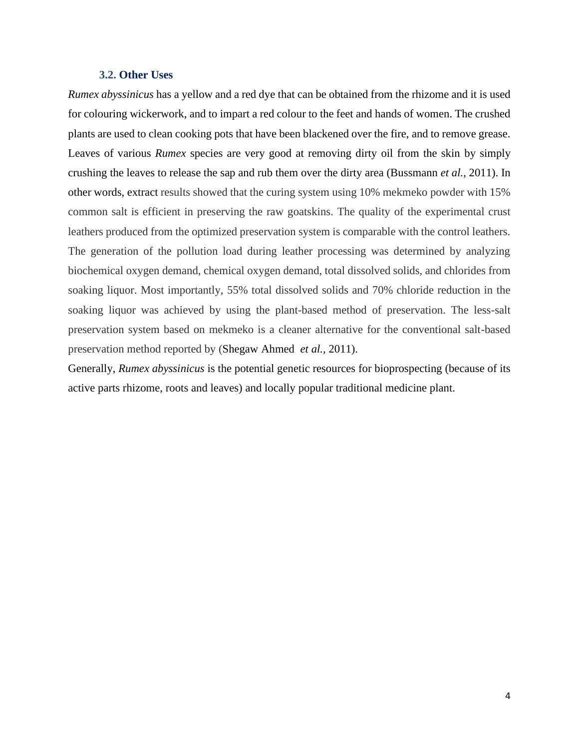## **3.2. Other Uses**

*Rumex abyssinicus* has a yellow and a red dye that can be obtained from the rhizome and it is used for colouring wickerwork, and to impart a red colour to the feet and hands of women. The crushed plants are used to clean cooking pots that have been blackened over the fire, and to remove grease. Leaves of various *Rumex* species are very good at removing dirty oil from the skin by simply crushing the leaves to release the sap and rub them over the dirty area (Bussmann *et al.*, 2011). In other words, extract results showed that the curing system using 10% mekmeko powder with 15% common salt is efficient in preserving the raw goatskins. The quality of the experimental crust leathers produced from the optimized preservation system is comparable with the control leathers. The generation of the pollution load during leather processing was determined by analyzing biochemical oxygen demand, chemical oxygen demand, total dissolved solids, and chlorides from soaking liquor. Most importantly, 55% total dissolved solids and 70% chloride reduction in the soaking liquor was achieved by using the plant-based method of preservation. The less-salt preservation system based on mekmeko is a cleaner alternative for the conventional salt-based preservation method reported by [\(Shegaw](http://www.sciencedirect.com/science/article/pii/S095965261630720X) Ahmed *et al.,* 2011).

Generally, *Rumex abyssinicus* is the potential genetic resources for bioprospecting (because of its active parts rhizome, roots and leaves) and locally popular traditional medicine plant.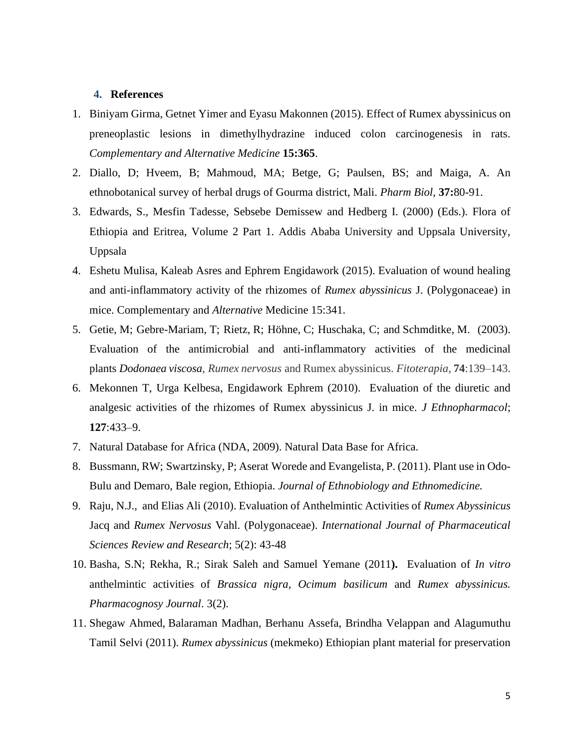## **4. References**

- 1. Biniyam Girma, Getnet Yimer and Eyasu Makonnen (2015). Effect of Rumex abyssinicus on preneoplastic lesions in dimethylhydrazine induced colon carcinogenesis in rats. *Complementary and Alternative Medicine* **15:365**.
- 2. Diallo, D; Hveem, B; Mahmoud, MA; Betge, G; Paulsen, BS; and Maiga, A. An ethnobotanical survey of herbal drugs of Gourma district, Mali. *Pharm Biol*, **37:**80-91.
- 3. Edwards, S., Mesfin Tadesse, Sebsebe Demissew and Hedberg I. (2000) (Eds.). Flora of Ethiopia and Eritrea, Volume 2 Part 1. Addis Ababa University and Uppsala University, Uppsala
- 4. Eshetu Mulisa, Kaleab Asres and Ephrem Engidawork (2015). Evaluation of wound healing and anti-inflammatory activity of the rhizomes of *Rumex abyssinicus* J. (Polygonaceae) in mice. Complementary and *Alternative* Medicine 15:341.
- 5. Getie, M; Gebre-Mariam, T; Rietz, R; Höhne, C; Huschaka, C; and Schmditke, M. (2003). Evaluation of the antimicrobial and anti-inflammatory activities of the medicinal plants *Dodonaea viscosa*, *Rumex nervosus* and Rumex abyssinicus. *Fitoterapia*, **74**:139–143.
- 6. Mekonnen T, Urga Kelbesa, Engidawork Ephrem (2010). Evaluation of the diuretic and analgesic activities of the rhizomes of Rumex abyssinicus J. in mice. *J Ethnopharmacol*; **127**:433–9.
- 7. Natural Database for Africa (NDA, 2009). Natural Data Base for Africa.
- 8. Bussmann, RW; Swartzinsky, P; Aserat Worede and Evangelista, P. (2011). Plant use in Odo-Bulu and Demaro, Bale region, Ethiopia. *Journal of Ethnobiology and Ethnomedicine.*
- 9. Raju, N.J., and Elias Ali (2010). Evaluation of Anthelmintic Activities of *Rumex Abyssinicus*  Jacq and *Rumex Nervosus* Vahl. (Polygonaceae). *International Journal of Pharmaceutical Sciences Review and Research*; 5(2): 43-48
- 10. Basha, S.N; Rekha, R.; Sirak Saleh and Samuel Yemane (2011**).** Evaluation of *In vitro*  anthelmintic activities of *Brassica nigra, Ocimum basilicum* and *Rumex abyssinicus. Pharmacognosy Journal*. 3(2).
- 11. Shegaw Ahmed, [Balaraman](http://www.sciencedirect.com/science/article/pii/S095965261630720X) Madhan, [Berhanu](http://www.sciencedirect.com/science/article/pii/S095965261630720X) Assefa, Brindha [Velappan](http://www.sciencedirect.com/science/article/pii/S095965261630720X) and [Alagumuthu](http://www.sciencedirect.com/science/article/pii/S095965261630720X) [Tamil](http://www.sciencedirect.com/science/article/pii/S095965261630720X) Selvi (2011). *Rumex abyssinicus* (mekmeko) Ethiopian plant material for preservation